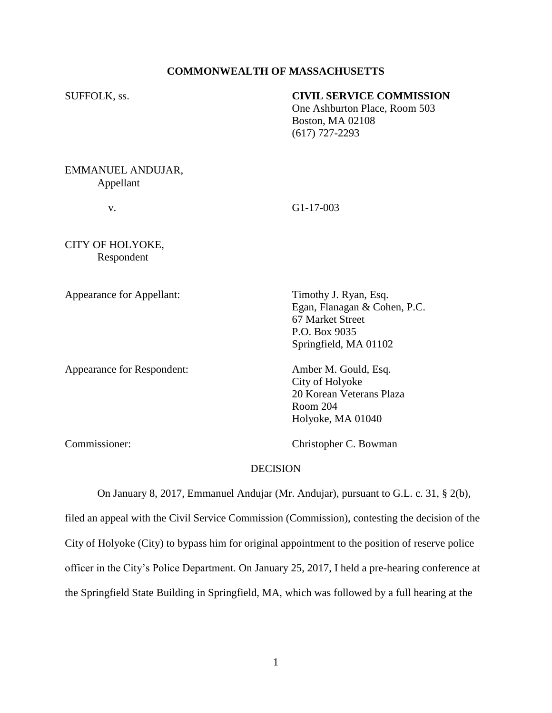# **COMMONWEALTH OF MASSACHUSETTS**

# SUFFOLK, ss. **CIVIL SERVICE COMMISSION**

One Ashburton Place, Room 503 Boston, MA 02108 (617) 727-2293

EMMANUEL ANDUJAR, Appellant

v. G1-17-003

CITY OF HOLYOKE, Respondent

Appearance for Appellant: Timothy J. Ryan, Esq.

Appearance for Respondent: Amber M. Gould, Esq.

Egan, Flanagan & Cohen, P.C. 67 Market Street P.O. Box 9035 Springfield, MA 01102

City of Holyoke 20 Korean Veterans Plaza Room 204 Holyoke, MA 01040

Commissioner: Christopher C. Bowman

### **DECISION**

On January 8, 2017, Emmanuel Andujar (Mr. Andujar), pursuant to G.L. c. 31, § 2(b), filed an appeal with the Civil Service Commission (Commission), contesting the decision of the City of Holyoke (City) to bypass him for original appointment to the position of reserve police officer in the City's Police Department. On January 25, 2017, I held a pre-hearing conference at the Springfield State Building in Springfield, MA, which was followed by a full hearing at the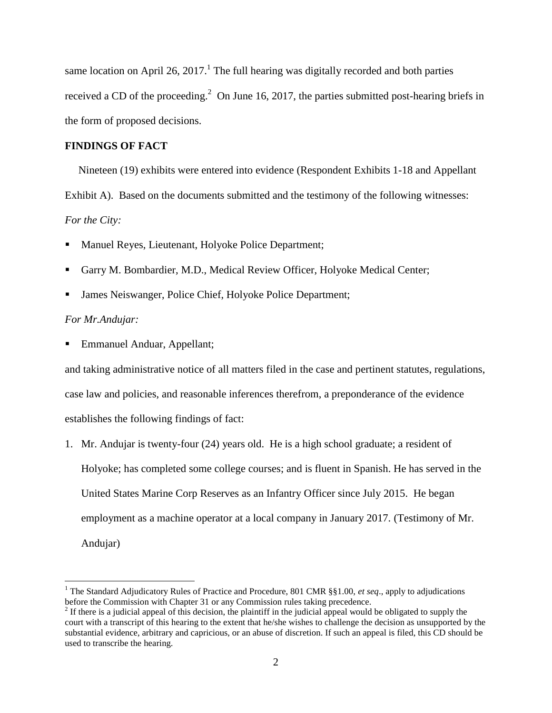same location on April 26, 2017.<sup>1</sup> The full hearing was digitally recorded and both parties received a CD of the proceeding.<sup>2</sup> On June 16, 2017, the parties submitted post-hearing briefs in the form of proposed decisions.

### **FINDINGS OF FACT**

 Nineteen (19) exhibits were entered into evidence (Respondent Exhibits 1-18 and Appellant Exhibit A). Based on the documents submitted and the testimony of the following witnesses: *For the City:*

- Manuel Reyes, Lieutenant, Holyoke Police Department;
- Garry M. Bombardier, M.D., Medical Review Officer, Holyoke Medical Center;
- James Neiswanger, Police Chief, Holyoke Police Department;

## *For Mr.Andujar:*

 $\overline{a}$ 

■ Emmanuel Anduar, Appellant;

and taking administrative notice of all matters filed in the case and pertinent statutes, regulations, case law and policies, and reasonable inferences therefrom, a preponderance of the evidence establishes the following findings of fact:

1. Mr. Andujar is twenty-four (24) years old. He is a high school graduate; a resident of Holyoke; has completed some college courses; and is fluent in Spanish. He has served in the United States Marine Corp Reserves as an Infantry Officer since July 2015. He began employment as a machine operator at a local company in January 2017. (Testimony of Mr. Andujar)

<sup>1</sup> The Standard Adjudicatory Rules of Practice and Procedure, 801 CMR §§1.00, *et seq*., apply to adjudications before the Commission with Chapter 31 or any Commission rules taking precedence.

 $2<sup>2</sup>$  If there is a judicial appeal of this decision, the plaintiff in the judicial appeal would be obligated to supply the court with a transcript of this hearing to the extent that he/she wishes to challenge the decision as unsupported by the substantial evidence, arbitrary and capricious, or an abuse of discretion. If such an appeal is filed, this CD should be used to transcribe the hearing.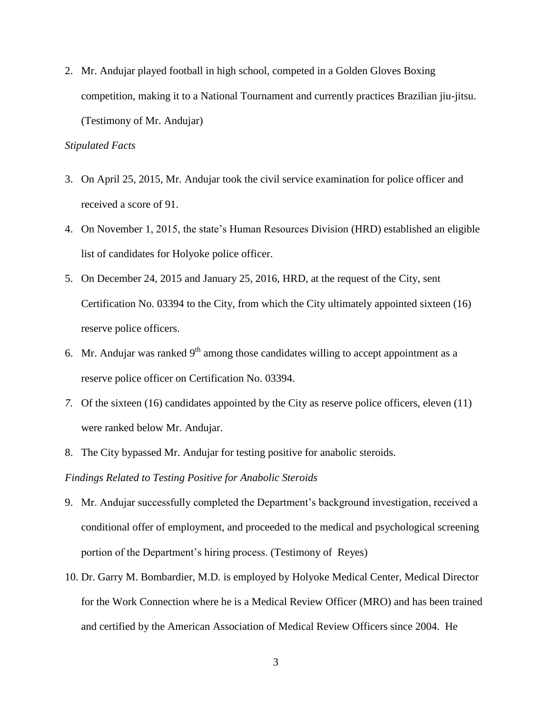2. Mr. Andujar played football in high school, competed in a Golden Gloves Boxing competition, making it to a National Tournament and currently practices Brazilian jiu-jitsu. (Testimony of Mr. Andujar)

# *Stipulated Facts*

- 3. On April 25, 2015, Mr. Andujar took the civil service examination for police officer and received a score of 91.
- 4. On November 1, 2015, the state's Human Resources Division (HRD) established an eligible list of candidates for Holyoke police officer.
- 5. On December 24, 2015 and January 25, 2016, HRD, at the request of the City, sent Certification No. 03394 to the City, from which the City ultimately appointed sixteen (16) reserve police officers.
- 6. Mr. Andujar was ranked  $9<sup>th</sup>$  among those candidates willing to accept appointment as a reserve police officer on Certification No. 03394.
- *7.* Of the sixteen (16) candidates appointed by the City as reserve police officers, eleven (11) were ranked below Mr. Andujar.
- 8. The City bypassed Mr. Andujar for testing positive for anabolic steroids.

*Findings Related to Testing Positive for Anabolic Steroids* 

- 9. Mr. Andujar successfully completed the Department's background investigation, received a conditional offer of employment, and proceeded to the medical and psychological screening portion of the Department's hiring process. (Testimony of Reyes)
- 10. Dr. Garry M. Bombardier, M.D. is employed by Holyoke Medical Center, Medical Director for the Work Connection where he is a Medical Review Officer (MRO) and has been trained and certified by the American Association of Medical Review Officers since 2004. He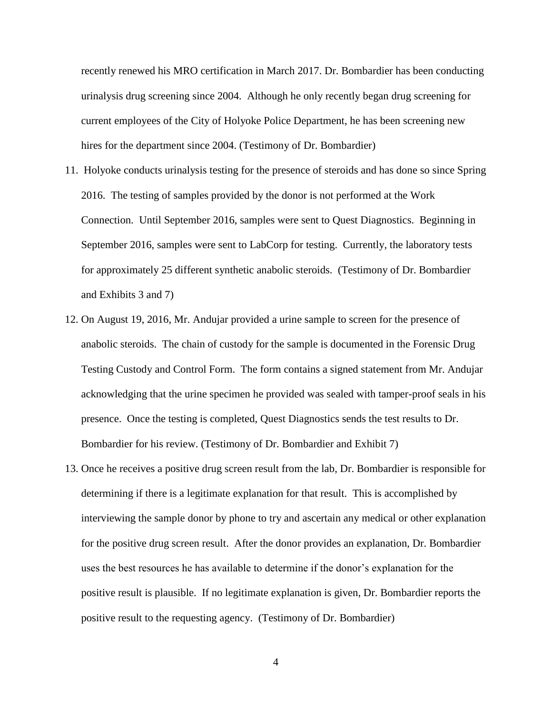recently renewed his MRO certification in March 2017. Dr. Bombardier has been conducting urinalysis drug screening since 2004. Although he only recently began drug screening for current employees of the City of Holyoke Police Department, he has been screening new hires for the department since 2004. (Testimony of Dr. Bombardier)

- 11. Holyoke conducts urinalysis testing for the presence of steroids and has done so since Spring 2016. The testing of samples provided by the donor is not performed at the Work Connection. Until September 2016, samples were sent to Quest Diagnostics. Beginning in September 2016, samples were sent to LabCorp for testing. Currently, the laboratory tests for approximately 25 different synthetic anabolic steroids. (Testimony of Dr. Bombardier and Exhibits 3 and 7)
- 12. On August 19, 2016, Mr. Andujar provided a urine sample to screen for the presence of anabolic steroids. The chain of custody for the sample is documented in the Forensic Drug Testing Custody and Control Form. The form contains a signed statement from Mr. Andujar acknowledging that the urine specimen he provided was sealed with tamper-proof seals in his presence. Once the testing is completed, Quest Diagnostics sends the test results to Dr. Bombardier for his review. (Testimony of Dr. Bombardier and Exhibit 7)
- 13. Once he receives a positive drug screen result from the lab, Dr. Bombardier is responsible for determining if there is a legitimate explanation for that result. This is accomplished by interviewing the sample donor by phone to try and ascertain any medical or other explanation for the positive drug screen result. After the donor provides an explanation, Dr. Bombardier uses the best resources he has available to determine if the donor's explanation for the positive result is plausible. If no legitimate explanation is given, Dr. Bombardier reports the positive result to the requesting agency. (Testimony of Dr. Bombardier)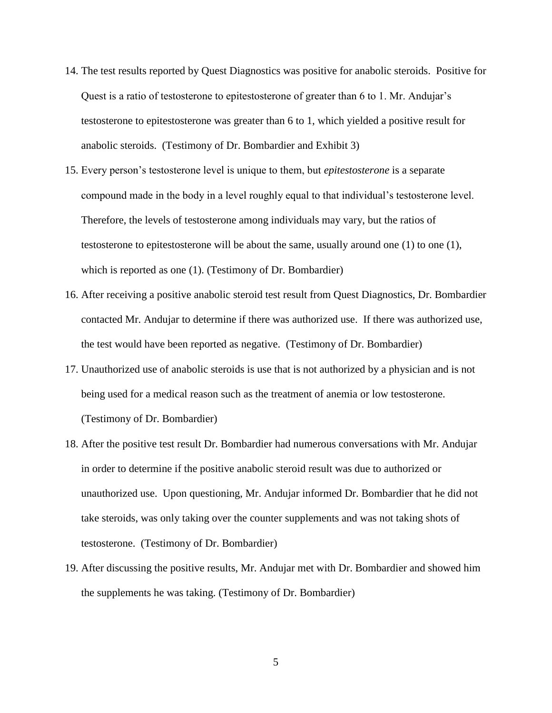- 14. The test results reported by Quest Diagnostics was positive for anabolic steroids. Positive for Quest is a ratio of testosterone to epitestosterone of greater than 6 to 1. Mr. Andujar's testosterone to epitestosterone was greater than 6 to 1, which yielded a positive result for anabolic steroids. (Testimony of Dr. Bombardier and Exhibit 3)
- 15. Every person's testosterone level is unique to them, but *epitestosterone* is a separate compound made in the body in a level roughly equal to that individual's testosterone level. Therefore, the levels of testosterone among individuals may vary, but the ratios of testosterone to epitestosterone will be about the same, usually around one (1) to one (1), which is reported as one (1). (Testimony of Dr. Bombardier)
- 16. After receiving a positive anabolic steroid test result from Quest Diagnostics, Dr. Bombardier contacted Mr. Andujar to determine if there was authorized use. If there was authorized use, the test would have been reported as negative. (Testimony of Dr. Bombardier)
- 17. Unauthorized use of anabolic steroids is use that is not authorized by a physician and is not being used for a medical reason such as the treatment of anemia or low testosterone. (Testimony of Dr. Bombardier)
- 18. After the positive test result Dr. Bombardier had numerous conversations with Mr. Andujar in order to determine if the positive anabolic steroid result was due to authorized or unauthorized use. Upon questioning, Mr. Andujar informed Dr. Bombardier that he did not take steroids, was only taking over the counter supplements and was not taking shots of testosterone. (Testimony of Dr. Bombardier)
- 19. After discussing the positive results, Mr. Andujar met with Dr. Bombardier and showed him the supplements he was taking. (Testimony of Dr. Bombardier)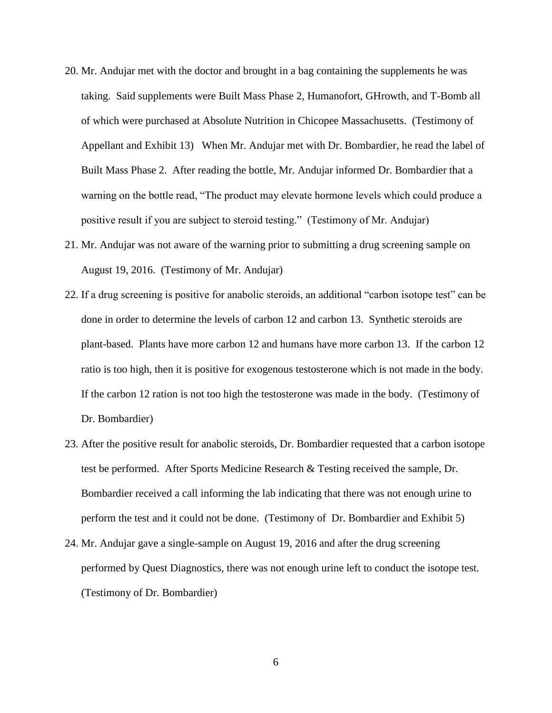- 20. Mr. Andujar met with the doctor and brought in a bag containing the supplements he was taking. Said supplements were Built Mass Phase 2, Humanofort, GHrowth, and T-Bomb all of which were purchased at Absolute Nutrition in Chicopee Massachusetts. (Testimony of Appellant and Exhibit 13) When Mr. Andujar met with Dr. Bombardier, he read the label of Built Mass Phase 2. After reading the bottle, Mr. Andujar informed Dr. Bombardier that a warning on the bottle read, "The product may elevate hormone levels which could produce a positive result if you are subject to steroid testing." (Testimony of Mr. Andujar)
- 21. Mr. Andujar was not aware of the warning prior to submitting a drug screening sample on August 19, 2016. (Testimony of Mr. Andujar)
- 22. If a drug screening is positive for anabolic steroids, an additional "carbon isotope test" can be done in order to determine the levels of carbon 12 and carbon 13. Synthetic steroids are plant-based. Plants have more carbon 12 and humans have more carbon 13. If the carbon 12 ratio is too high, then it is positive for exogenous testosterone which is not made in the body. If the carbon 12 ration is not too high the testosterone was made in the body. (Testimony of Dr. Bombardier)
- 23. After the positive result for anabolic steroids, Dr. Bombardier requested that a carbon isotope test be performed. After Sports Medicine Research & Testing received the sample, Dr. Bombardier received a call informing the lab indicating that there was not enough urine to perform the test and it could not be done. (Testimony of Dr. Bombardier and Exhibit 5)
- 24. Mr. Andujar gave a single-sample on August 19, 2016 and after the drug screening performed by Quest Diagnostics, there was not enough urine left to conduct the isotope test. (Testimony of Dr. Bombardier)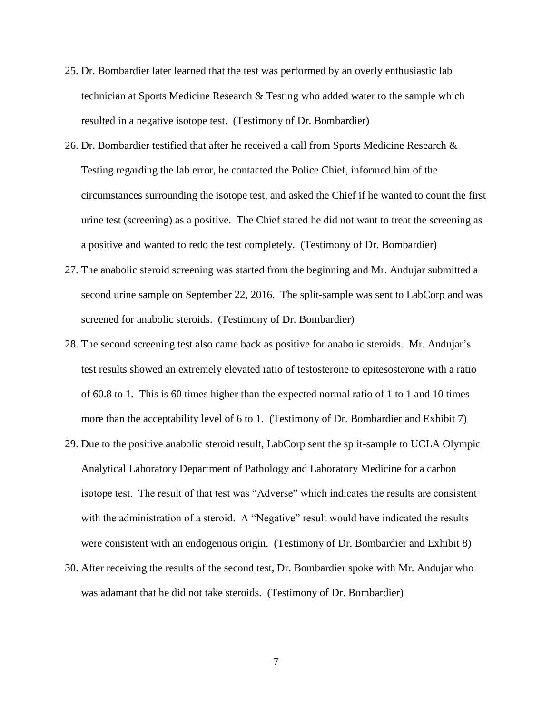- 25. Dr. Bombardier later learned that the test was performed by an overly enthusiastic lab technician at Sports Medicine Research & Testing who added water to the sample which resulted in a negative isotope test. (Testimony of Dr. Bombardier)
- 26. Dr. Bombardier testified that after he received a call from Sports Medicine Research & Testing regarding the lab error, he contacted the Police Chief, informed him of the circumstances surrounding the isotope test, and asked the Chief if he wanted to count the first urine test (screening) as a positive. The Chief stated he did not want to treat the screening as a positive and wanted to redo the test completely. (Testimony of Dr. Bombardier)
- 27. The anabolic steroid screening was started from the beginning and Mr. Andujar submitted a second urine sample on September 22, 2016. The split-sample was sent to LabCorp and was screened for anabolic steroids. (Testimony of Dr. Bombardier)
- 28. The second screening test also came back as positive for anabolic steroids. Mr. Andujar's test results showed an extremely elevated ratio of testosterone to epitesosterone with a ratio of 60.8 to 1. This is 60 times higher than the expected normal ratio of 1 to 1 and 10 times more than the acceptability level of 6 to 1. (Testimony of Dr. Bombardier and Exhibit 7)
- 29. Due to the positive anabolic steroid result, LabCorp sent the split-sample to UCLA Olympic Analytical Laboratory Department of Pathology and Laboratory Medicine for a carbon isotope test. The result of that test was "Adverse" which indicates the results are consistent with the administration of a steroid. A "Negative" result would have indicated the results were consistent with an endogenous origin. (Testimony of Dr. Bombardier and Exhibit 8)
- 30. After receiving the results of the second test, Dr. Bombardier spoke with Mr. Andujar who was adamant that he did not take steroids. (Testimony of Dr. Bombardier)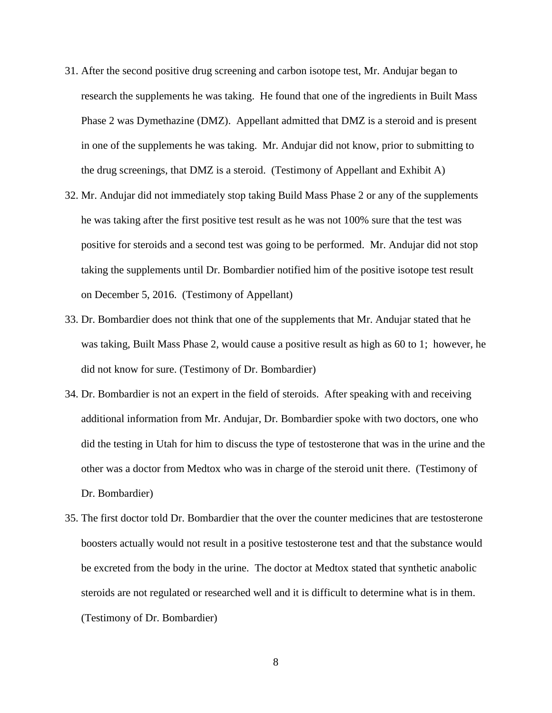- 31. After the second positive drug screening and carbon isotope test, Mr. Andujar began to research the supplements he was taking. He found that one of the ingredients in Built Mass Phase 2 was Dymethazine (DMZ). Appellant admitted that DMZ is a steroid and is present in one of the supplements he was taking. Mr. Andujar did not know, prior to submitting to the drug screenings, that DMZ is a steroid. (Testimony of Appellant and Exhibit A)
- 32. Mr. Andujar did not immediately stop taking Build Mass Phase 2 or any of the supplements he was taking after the first positive test result as he was not 100% sure that the test was positive for steroids and a second test was going to be performed. Mr. Andujar did not stop taking the supplements until Dr. Bombardier notified him of the positive isotope test result on December 5, 2016. (Testimony of Appellant)
- 33. Dr. Bombardier does not think that one of the supplements that Mr. Andujar stated that he was taking, Built Mass Phase 2, would cause a positive result as high as 60 to 1; however, he did not know for sure. (Testimony of Dr. Bombardier)
- 34. Dr. Bombardier is not an expert in the field of steroids. After speaking with and receiving additional information from Mr. Andujar, Dr. Bombardier spoke with two doctors, one who did the testing in Utah for him to discuss the type of testosterone that was in the urine and the other was a doctor from Medtox who was in charge of the steroid unit there. (Testimony of Dr. Bombardier)
- 35. The first doctor told Dr. Bombardier that the over the counter medicines that are testosterone boosters actually would not result in a positive testosterone test and that the substance would be excreted from the body in the urine. The doctor at Medtox stated that synthetic anabolic steroids are not regulated or researched well and it is difficult to determine what is in them. (Testimony of Dr. Bombardier)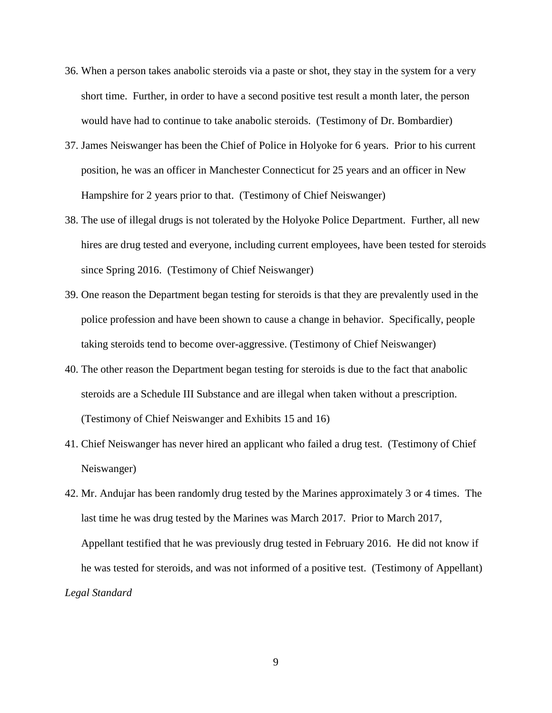- 36. When a person takes anabolic steroids via a paste or shot, they stay in the system for a very short time. Further, in order to have a second positive test result a month later, the person would have had to continue to take anabolic steroids. (Testimony of Dr. Bombardier)
- 37. James Neiswanger has been the Chief of Police in Holyoke for 6 years. Prior to his current position, he was an officer in Manchester Connecticut for 25 years and an officer in New Hampshire for 2 years prior to that. (Testimony of Chief Neiswanger)
- 38. The use of illegal drugs is not tolerated by the Holyoke Police Department. Further, all new hires are drug tested and everyone, including current employees, have been tested for steroids since Spring 2016. (Testimony of Chief Neiswanger)
- 39. One reason the Department began testing for steroids is that they are prevalently used in the police profession and have been shown to cause a change in behavior. Specifically, people taking steroids tend to become over-aggressive. (Testimony of Chief Neiswanger)
- 40. The other reason the Department began testing for steroids is due to the fact that anabolic steroids are a Schedule III Substance and are illegal when taken without a prescription. (Testimony of Chief Neiswanger and Exhibits 15 and 16)
- 41. Chief Neiswanger has never hired an applicant who failed a drug test. (Testimony of Chief Neiswanger)
- 42. Mr. Andujar has been randomly drug tested by the Marines approximately 3 or 4 times. The last time he was drug tested by the Marines was March 2017. Prior to March 2017, Appellant testified that he was previously drug tested in February 2016. He did not know if he was tested for steroids, and was not informed of a positive test. (Testimony of Appellant) *Legal Standard*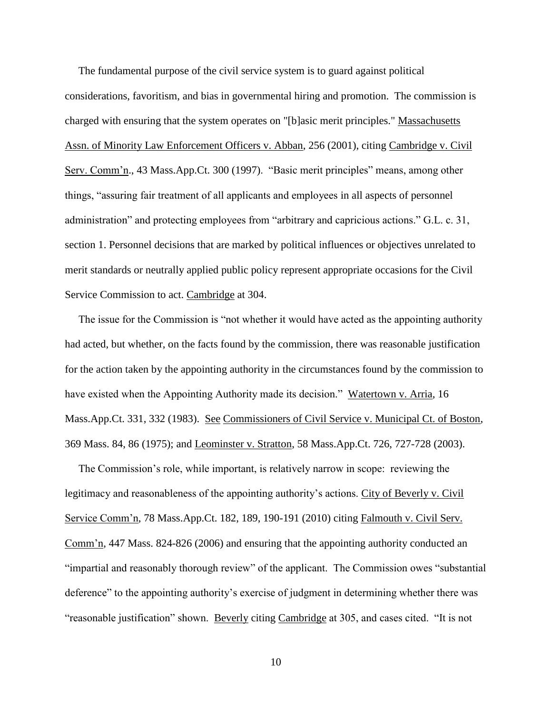The fundamental purpose of the civil service system is to guard against political considerations, favoritism, and bias in governmental hiring and promotion. The commission is charged with ensuring that the system operates on "[b]asic merit principles." Massachusetts Assn. of Minority Law Enforcement Officers v. Abban, 256 (2001), citing Cambridge v. Civil Serv. Comm'n., 43 Mass.App.Ct. 300 (1997). "Basic merit principles" means, among other things, "assuring fair treatment of all applicants and employees in all aspects of personnel administration" and protecting employees from "arbitrary and capricious actions." G.L. c. 31, section 1. Personnel decisions that are marked by political influences or objectives unrelated to merit standards or neutrally applied public policy represent appropriate occasions for the Civil Service Commission to act. Cambridge at 304.

 The issue for the Commission is "not whether it would have acted as the appointing authority had acted, but whether, on the facts found by the commission, there was reasonable justification for the action taken by the appointing authority in the circumstances found by the commission to have existed when the Appointing Authority made its decision." Watertown v. Arria, 16 Mass.App.Ct. 331, 332 (1983). See Commissioners of Civil Service v. Municipal Ct. of Boston, 369 Mass. 84, 86 (1975); and Leominster v. Stratton, 58 Mass.App.Ct. 726, 727-728 (2003).

 The Commission's role, while important, is relatively narrow in scope: reviewing the legitimacy and reasonableness of the appointing authority's actions. City of Beverly v. Civil Service Comm'n, 78 Mass.App.Ct. 182, 189, 190-191 (2010) citing Falmouth v. Civil Serv. Comm'n, 447 Mass. 824-826 (2006) and ensuring that the appointing authority conducted an "impartial and reasonably thorough review" of the applicant. The Commission owes "substantial deference" to the appointing authority's exercise of judgment in determining whether there was "reasonable justification" shown. Beverly citing Cambridge at 305, and cases cited. "It is not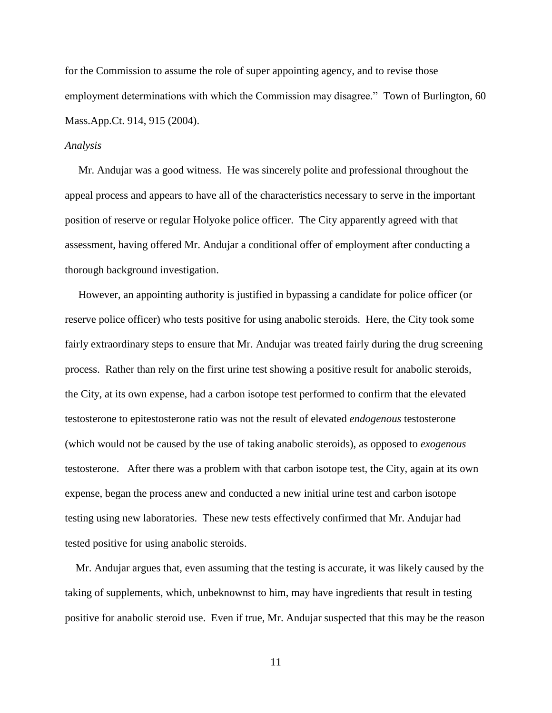for the Commission to assume the role of super appointing agency, and to revise those employment determinations with which the Commission may disagree." Town of Burlington, 60 Mass.App.Ct. 914, 915 (2004).

#### *Analysis*

 Mr. Andujar was a good witness. He was sincerely polite and professional throughout the appeal process and appears to have all of the characteristics necessary to serve in the important position of reserve or regular Holyoke police officer. The City apparently agreed with that assessment, having offered Mr. Andujar a conditional offer of employment after conducting a thorough background investigation.

 However, an appointing authority is justified in bypassing a candidate for police officer (or reserve police officer) who tests positive for using anabolic steroids. Here, the City took some fairly extraordinary steps to ensure that Mr. Andujar was treated fairly during the drug screening process. Rather than rely on the first urine test showing a positive result for anabolic steroids, the City, at its own expense, had a carbon isotope test performed to confirm that the elevated testosterone to epitestosterone ratio was not the result of elevated *endogenous* testosterone (which would not be caused by the use of taking anabolic steroids), as opposed to *exogenous* testosterone. After there was a problem with that carbon isotope test, the City, again at its own expense, began the process anew and conducted a new initial urine test and carbon isotope testing using new laboratories. These new tests effectively confirmed that Mr. Andujar had tested positive for using anabolic steroids.

 Mr. Andujar argues that, even assuming that the testing is accurate, it was likely caused by the taking of supplements, which, unbeknownst to him, may have ingredients that result in testing positive for anabolic steroid use. Even if true, Mr. Andujar suspected that this may be the reason